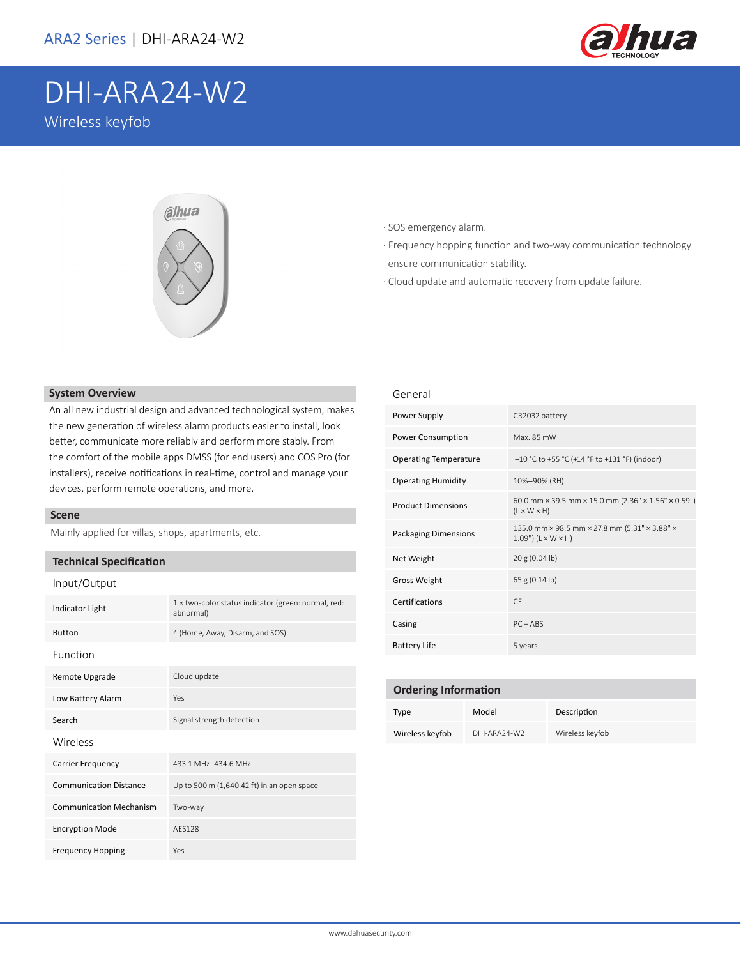

# DHI-ARA24-W2 Wireless keyfob



### · SOS emergency alarm.

- · Frequency hopping function and two-way communication technology ensure communication stability.
- · Cloud update and automatic recovery from update failure.

# **System Overview**

An all new industrial design and advanced technological system, makes the new generation of wireless alarm products easier to install, look better, communicate more reliably and perform more stably. From the comfort of the mobile apps DMSS (for end users) and COS Pro (for installers), receive notifications in real-time, control and manage your devices, perform remote operations, and more.

#### **Scene**

Mainly applied for villas, shops, apartments, etc.

#### **Technical Specification**

|  | Input/Output |  |
|--|--------------|--|
|--|--------------|--|

| <b>Indicator Light</b>         | 1 x two-color status indicator (green: normal, red:<br>abnormal) |
|--------------------------------|------------------------------------------------------------------|
| <b>Button</b>                  | 4 (Home, Away, Disarm, and SOS)                                  |
| Function                       |                                                                  |
| Remote Upgrade                 | Cloud update                                                     |
| Low Battery Alarm              | Yes                                                              |
| Search                         | Signal strength detection                                        |
| Wireless                       |                                                                  |
| <b>Carrier Frequency</b>       | 433.1 MHz-434.6 MHz                                              |
| <b>Communication Distance</b>  | Up to 500 m (1,640.42 ft) in an open space                       |
| <b>Communication Mechanism</b> | Two-way                                                          |
| <b>Encryption Mode</b>         | <b>AFS128</b>                                                    |
| <b>Frequency Hopping</b>       | Yes                                                              |

## General

| Power Supply                 | CR2032 battery                                                                                             |
|------------------------------|------------------------------------------------------------------------------------------------------------|
| Power Consumption            | Max. 85 mW                                                                                                 |
| <b>Operating Temperature</b> | -10 °C to +55 °C (+14 °F to +131 °F) (indoor)                                                              |
| <b>Operating Humidity</b>    | 10%-90% (RH)                                                                                               |
| <b>Product Dimensions</b>    | 60.0 mm $\times$ 39.5 mm $\times$ 15.0 mm (2.36" $\times$ 1.56" $\times$ 0.59")<br>$(L \times W \times H)$ |
| <b>Packaging Dimensions</b>  | 135.0 mm × 98.5 mm × 27.8 mm (5.31" × 3.88" ×<br>$1.09"$ (L $\times$ W $\times$ H)                         |
| Net Weight                   | 20 g (0.04 lb)                                                                                             |
| Gross Weight                 | 65 g (0.14 lb)                                                                                             |
| Certifications               | CF.                                                                                                        |
| Casing                       | $PC + ABS$                                                                                                 |
| <b>Battery Life</b>          | 5 years                                                                                                    |

# **Ordering Information**

| Type            | Model        | Description     |
|-----------------|--------------|-----------------|
| Wireless keyfob | DHI-ARA24-W2 | Wireless keyfob |